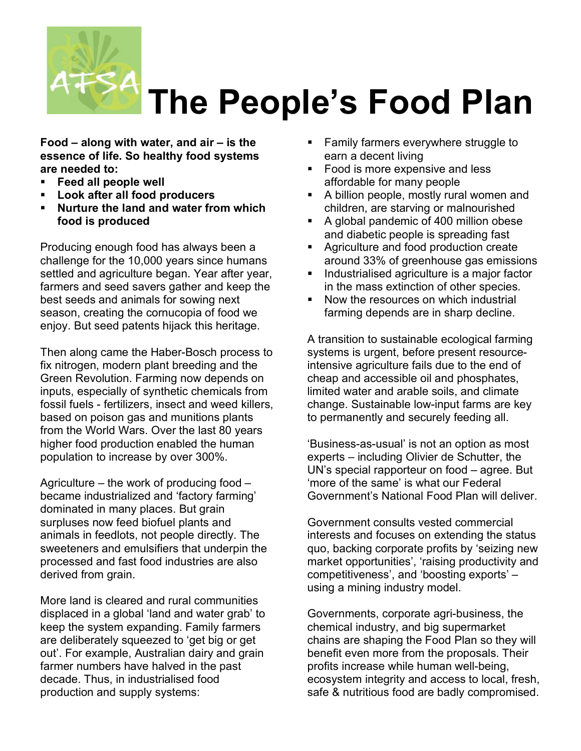

## **The People's Food Plan**

**Food – along with water, and air – is the essence of life. So healthy food systems are needed to:** 

- **Feed all people well**
- **Look after all food producers**
- **Nurture the land and water from which food is produced**

Producing enough food has always been a challenge for the 10,000 years since humans settled and agriculture began. Year after year, farmers and seed savers gather and keep the best seeds and animals for sowing next season, creating the cornucopia of food we enjoy. But seed patents hijack this heritage.

Then along came the Haber-Bosch process to fix nitrogen, modern plant breeding and the Green Revolution. Farming now depends on inputs, especially of synthetic chemicals from fossil fuels - fertilizers, insect and weed killers, based on poison gas and munitions plants from the World Wars. Over the last 80 years higher food production enabled the human population to increase by over 300%.

Agriculture – the work of producing food – became industrialized and 'factory farming' dominated in many places. But grain surpluses now feed biofuel plants and animals in feedlots, not people directly. The sweeteners and emulsifiers that underpin the processed and fast food industries are also derived from grain.

More land is cleared and rural communities displaced in a global 'land and water grab' to keep the system expanding. Family farmers are deliberately squeezed to 'get big or get out'. For example, Australian dairy and grain farmer numbers have halved in the past decade. Thus, in industrialised food production and supply systems:

- Family farmers everywhere struggle to earn a decent living
- Food is more expensive and less affordable for many people
- A billion people, mostly rural women and children, are starving or malnourished
- A global pandemic of 400 million obese and diabetic people is spreading fast
- **Agriculture and food production create** around 33% of greenhouse gas emissions
- Industrialised agriculture is a major factor in the mass extinction of other species.
- Now the resources on which industrial farming depends are in sharp decline.

A transition to sustainable ecological farming systems is urgent, before present resourceintensive agriculture fails due to the end of cheap and accessible oil and phosphates, limited water and arable soils, and climate change. Sustainable low-input farms are key to permanently and securely feeding all.

'Business-as-usual' is not an option as most experts – including Olivier de Schutter, the UN's special rapporteur on food – agree. But 'more of the same' is what our Federal Government's National Food Plan will deliver.

Government consults vested commercial interests and focuses on extending the status quo, backing corporate profits by 'seizing new market opportunities', 'raising productivity and competitiveness', and 'boosting exports' – using a mining industry model.

Governments, corporate agri-business, the chemical industry, and big supermarket chains are shaping the Food Plan so they will benefit even more from the proposals. Their profits increase while human well-being, ecosystem integrity and access to local, fresh, safe & nutritious food are badly compromised.